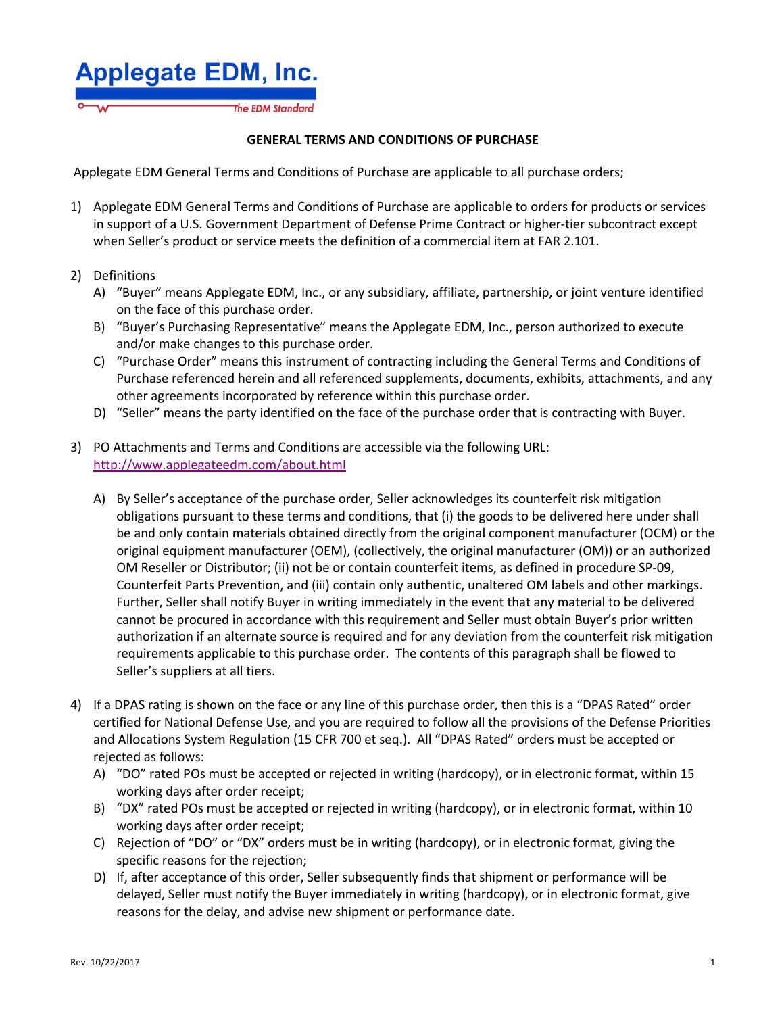

## **GENERAL TERMS AND CONDITIONS OF PURCHASE**

Applegate EDM General Terms and Conditions of Purchase are applicable to all purchase orders;

- 1) Applegate EDM General Terms and Conditions of Purchase are applicable to orders for products or services in support of a U.S. Government Department of Defense Prime Contract or higher-tier subcontract except when Seller's product or service meets the definition of a commercial item at FAR 2.101.
- 2) Definitions
	- A) "Buyer" means Applegate EDM, Inc., or any subsidiary, affiliate, partnership, or joint venture identified on the face of this purchase order.
	- B) "Buyer's Purchasing Representative" means the Applegate EDM, Inc., person authorized to execute and/or make changes to this purchase order.
	- C) "Purchase Order" means this instrument of contracting including the General Terms and Conditions of Purchase referenced herein and all referenced supplements, documents, exhibits, attachments, and any other agreements incorporated by reference within this purchase order.
	- D) "Seller" means the party identified on the face of the purchase order that is contracting with Buyer.
- 3) PO Attachments and Terms and Conditions are accessible via the following URL: http://www.applegateedm.com/about.html
	- A) By Seller's acceptance of the purchase order, Seller acknowledges its counterfeit risk mitigation obligations pursuant to these terms and conditions, that (i) the goods to be delivered here under shall be and only contain materials obtained directly from the original component manufacturer (OCM) or the original equipment manufacturer (OEM), (collectively, the original manufacturer (OM)) or an authorized OM Reseller or Distributor; (ii) not be or contain counterfeit items, as defined in procedure SP-09, Counterfeit Parts Prevention, and (iii) contain only authentic, unaltered OM labels and other markings. Further, Seller shall notify Buyer in writing immediately in the event that any material to be delivered cannot be procured in accordance with this requirement and Seller must obtain Buyer's prior written authorization if an alternate source is required and for any deviation from the counterfeit risk mitigation requirements applicable to this purchase order. The contents of this paragraph shall be flowed to Seller's suppliers at all tiers.
- 4) If a DPAS rating is shown on the face or any line of this purchase order, then this is a "DPAS Rated" order certified for National Defense Use, and you are required to follow all the provisions of the Defense Priorities and Allocations System Regulation (15 CFR 700 et seq.). All "DPAS Rated" orders must be accepted or rejected as follows:
	- A) "DO" rated POs must be accepted or rejected in writing (hardcopy), or in electronic format, within 15 working days after order receipt;
	- B) "DX" rated POs must be accepted or rejected in writing (hardcopy), or in electronic format, within 10 working days after order receipt;
	- C) Rejection of "DO" or "DX" orders must be in writing (hardcopy), or in electronic format, giving the specific reasons for the rejection;
	- D) If, after acceptance of this order, Seller subsequently finds that shipment or performance will be delayed, Seller must notify the Buyer immediately in writing (hardcopy), or in electronic format, give reasons for the delay, and advise new shipment or performance date.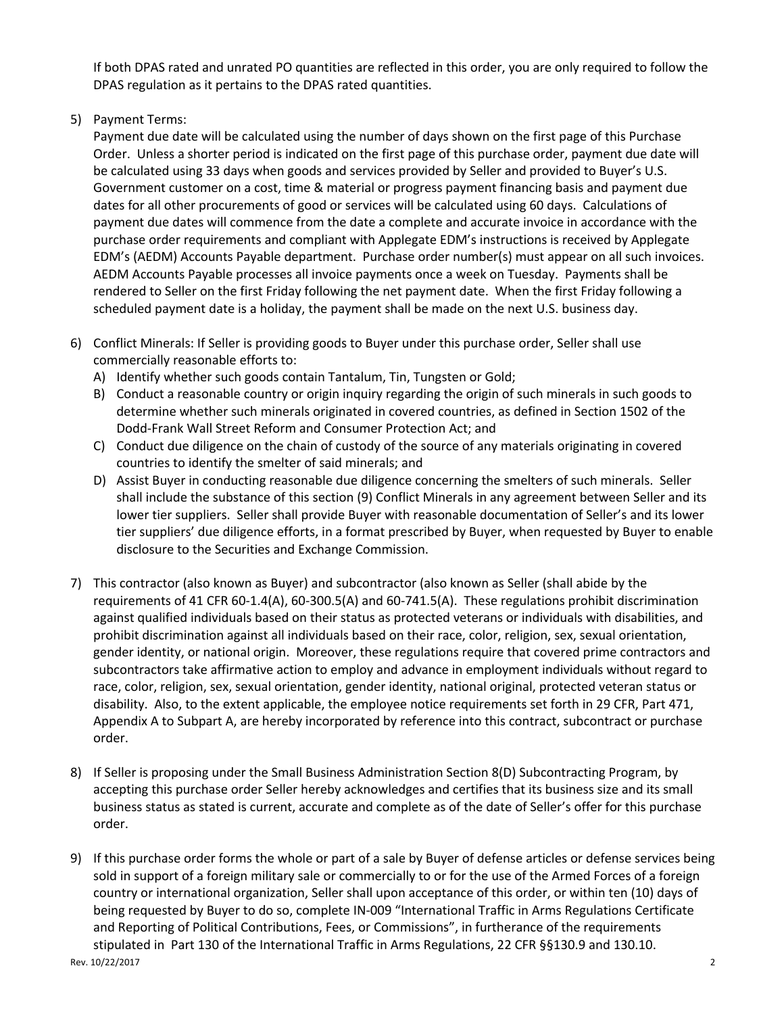If both DPAS rated and unrated PO quantities are reflected in this order, you are only required to follow the DPAS regulation as it pertains to the DPAS rated quantities.

5) Payment Terms:

Payment due date will be calculated using the number of days shown on the first page of this Purchase Order. Unless a shorter period is indicated on the first page of this purchase order, payment due date will be calculated using 33 days when goods and services provided by Seller and provided to Buyer's U.S. Government customer on a cost, time & material or progress payment financing basis and payment due dates for all other procurements of good or services will be calculated using 60 days. Calculations of payment due dates will commence from the date a complete and accurate invoice in accordance with the purchase order requirements and compliant with Applegate EDM's instructions is received by Applegate EDM's (AEDM) Accounts Payable department. Purchase order number(s) must appear on all such invoices. AEDM Accounts Payable processes all invoice payments once a week on Tuesday. Payments shall be rendered to Seller on the first Friday following the net payment date. When the first Friday following a scheduled payment date is a holiday, the payment shall be made on the next U.S. business day.

- 6) Conflict Minerals: If Seller is providing goods to Buyer under this purchase order, Seller shall use commercially reasonable efforts to:
	- A) Identify whether such goods contain Tantalum, Tin, Tungsten or Gold;
	- B) Conduct a reasonable country or origin inquiry regarding the origin of such minerals in such goods to determine whether such minerals originated in covered countries, as defined in Section 1502 of the Dodd-Frank Wall Street Reform and Consumer Protection Act; and
	- C) Conduct due diligence on the chain of custody of the source of any materials originating in covered countries to identify the smelter of said minerals; and
	- D) Assist Buyer in conducting reasonable due diligence concerning the smelters of such minerals. Seller shall include the substance of this section (9) Conflict Minerals in any agreement between Seller and its lower tier suppliers. Seller shall provide Buyer with reasonable documentation of Seller's and its lower tier suppliers' due diligence efforts, in a format prescribed by Buyer, when requested by Buyer to enable disclosure to the Securities and Exchange Commission.
- 7) This contractor (also known as Buyer) and subcontractor (also known as Seller (shall abide by the requirements of 41 CFR 60-1.4(A), 60-300.5(A) and 60-741.5(A). These regulations prohibit discrimination against qualified individuals based on their status as protected veterans or individuals with disabilities, and prohibit discrimination against all individuals based on their race, color, religion, sex, sexual orientation, gender identity, or national origin. Moreover, these regulations require that covered prime contractors and subcontractors take affirmative action to employ and advance in employment individuals without regard to race, color, religion, sex, sexual orientation, gender identity, national original, protected veteran status or disability. Also, to the extent applicable, the employee notice requirements set forth in 29 CFR, Part 471, Appendix A to Subpart A, are hereby incorporated by reference into this contract, subcontract or purchase order.
- 8) If Seller is proposing under the Small Business Administration Section 8(D) Subcontracting Program, by accepting this purchase order Seller hereby acknowledges and certifies that its business size and its small business status as stated is current, accurate and complete as of the date of Seller's offer for this purchase order.
- Rev. 10/22/2017 2 9) If this purchase order forms the whole or part of a sale by Buyer of defense articles or defense services being sold in support of a foreign military sale or commercially to or for the use of the Armed Forces of a foreign country or international organization, Seller shall upon acceptance of this order, or within ten (10) days of being requested by Buyer to do so, complete IN-009 "International Traffic in Arms Regulations Certificate and Reporting of Political Contributions, Fees, or Commissions", in furtherance of the requirements stipulated in Part 130 of the International Traffic in Arms Regulations, 22 CFR §§130.9 and 130.10.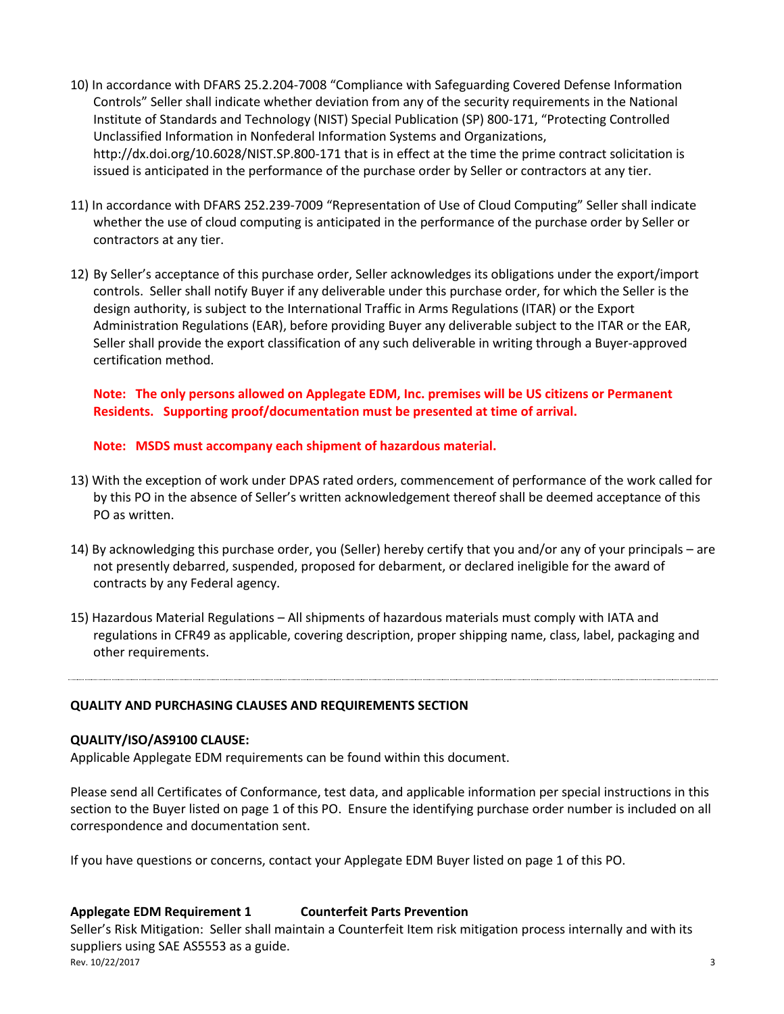- 10) In accordance with DFARS 25.2.204-7008 "Compliance with Safeguarding Covered Defense Information Controls" Seller shall indicate whether deviation from any of the security requirements in the National Institute of Standards and Technology (NIST) Special Publication (SP) 800-171, "Protecting Controlled Unclassified Information in Nonfederal Information Systems and Organizations, http://dx.doi.org/10.6028/NIST.SP.800-171 that is in effect at the time the prime contract solicitation is issued is anticipated in the performance of the purchase order by Seller or contractors at any tier.
- 11) In accordance with DFARS 252.239-7009 "Representation of Use of Cloud Computing" Seller shall indicate whether the use of cloud computing is anticipated in the performance of the purchase order by Seller or contractors at any tier.
- 12) By Seller's acceptance of this purchase order, Seller acknowledges its obligations under the export/import controls. Seller shall notify Buyer if any deliverable under this purchase order, for which the Seller is the design authority, is subject to the International Traffic in Arms Regulations (ITAR) or the Export Administration Regulations (EAR), before providing Buyer any deliverable subject to the ITAR or the EAR, Seller shall provide the export classification of any such deliverable in writing through a Buyer-approved certification method.

**Note: The only persons allowed on Applegate EDM, Inc. premises will be US citizens or Permanent Residents. Supporting proof/documentation must be presented at time of arrival.** 

**Note: MSDS must accompany each shipment of hazardous material.** 

- 13) With the exception of work under DPAS rated orders, commencement of performance of the work called for by this PO in the absence of Seller's written acknowledgement thereof shall be deemed acceptance of this PO as written.
- 14) By acknowledging this purchase order, you (Seller) hereby certify that you and/or any of your principals are not presently debarred, suspended, proposed for debarment, or declared ineligible for the award of contracts by any Federal agency.
- 15) Hazardous Material Regulations All shipments of hazardous materials must comply with IATA and regulations in CFR49 as applicable, covering description, proper shipping name, class, label, packaging and other requirements.

**QUALITY AND PURCHASING CLAUSES AND REQUIREMENTS SECTION** 

#### **QUALITY/ISO/AS9100 CLAUSE:**

Applicable Applegate EDM requirements can be found within this document.

Please send all Certificates of Conformance, test data, and applicable information per special instructions in this section to the Buyer listed on page 1 of this PO. Ensure the identifying purchase order number is included on all correspondence and documentation sent.

If you have questions or concerns, contact your Applegate EDM Buyer listed on page 1 of this PO.

#### **Applegate EDM Requirement 1 Counterfeit Parts Prevention**

Rev. 10/22/2017 3 Seller's Risk Mitigation: Seller shall maintain a Counterfeit Item risk mitigation process internally and with its suppliers using SAE AS5553 as a guide.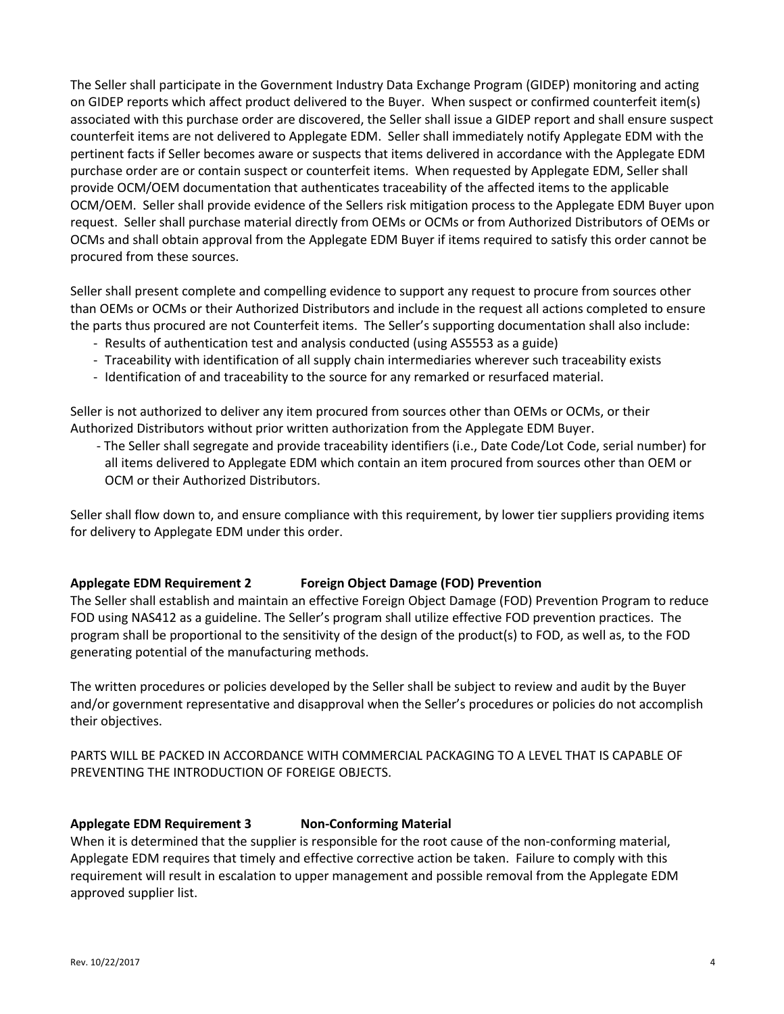The Seller shall participate in the Government Industry Data Exchange Program (GIDEP) monitoring and acting on GIDEP reports which affect product delivered to the Buyer. When suspect or confirmed counterfeit item(s) associated with this purchase order are discovered, the Seller shall issue a GIDEP report and shall ensure suspect counterfeit items are not delivered to Applegate EDM. Seller shall immediately notify Applegate EDM with the pertinent facts if Seller becomes aware or suspects that items delivered in accordance with the Applegate EDM purchase order are or contain suspect or counterfeit items. When requested by Applegate EDM, Seller shall provide OCM/OEM documentation that authenticates traceability of the affected items to the applicable OCM/OEM. Seller shall provide evidence of the Sellers risk mitigation process to the Applegate EDM Buyer upon request. Seller shall purchase material directly from OEMs or OCMs or from Authorized Distributors of OEMs or OCMs and shall obtain approval from the Applegate EDM Buyer if items required to satisfy this order cannot be procured from these sources.

Seller shall present complete and compelling evidence to support any request to procure from sources other than OEMs or OCMs or their Authorized Distributors and include in the request all actions completed to ensure the parts thus procured are not Counterfeit items. The Seller's supporting documentation shall also include:

- Results of authentication test and analysis conducted (using AS5553 as a guide)
- Traceability with identification of all supply chain intermediaries wherever such traceability exists
- Identification of and traceability to the source for any remarked or resurfaced material.

Seller is not authorized to deliver any item procured from sources other than OEMs or OCMs, or their Authorized Distributors without prior written authorization from the Applegate EDM Buyer.

- The Seller shall segregate and provide traceability identifiers (i.e., Date Code/Lot Code, serial number) for all items delivered to Applegate EDM which contain an item procured from sources other than OEM or OCM or their Authorized Distributors.

Seller shall flow down to, and ensure compliance with this requirement, by lower tier suppliers providing items for delivery to Applegate EDM under this order.

## **Applegate EDM Requirement 2 Foreign Object Damage (FOD) Prevention**

The Seller shall establish and maintain an effective Foreign Object Damage (FOD) Prevention Program to reduce FOD using NAS412 as a guideline. The Seller's program shall utilize effective FOD prevention practices. The program shall be proportional to the sensitivity of the design of the product(s) to FOD, as well as, to the FOD generating potential of the manufacturing methods.

The written procedures or policies developed by the Seller shall be subject to review and audit by the Buyer and/or government representative and disapproval when the Seller's procedures or policies do not accomplish their objectives.

PARTS WILL BE PACKED IN ACCORDANCE WITH COMMERCIAL PACKAGING TO A LEVEL THAT IS CAPABLE OF PREVENTING THE INTRODUCTION OF FOREIGE OBJECTS.

## Applegate EDM Requirement 3 Non-Conforming Material

When it is determined that the supplier is responsible for the root cause of the non-conforming material, Applegate EDM requires that timely and effective corrective action be taken. Failure to comply with this requirement will result in escalation to upper management and possible removal from the Applegate EDM approved supplier list.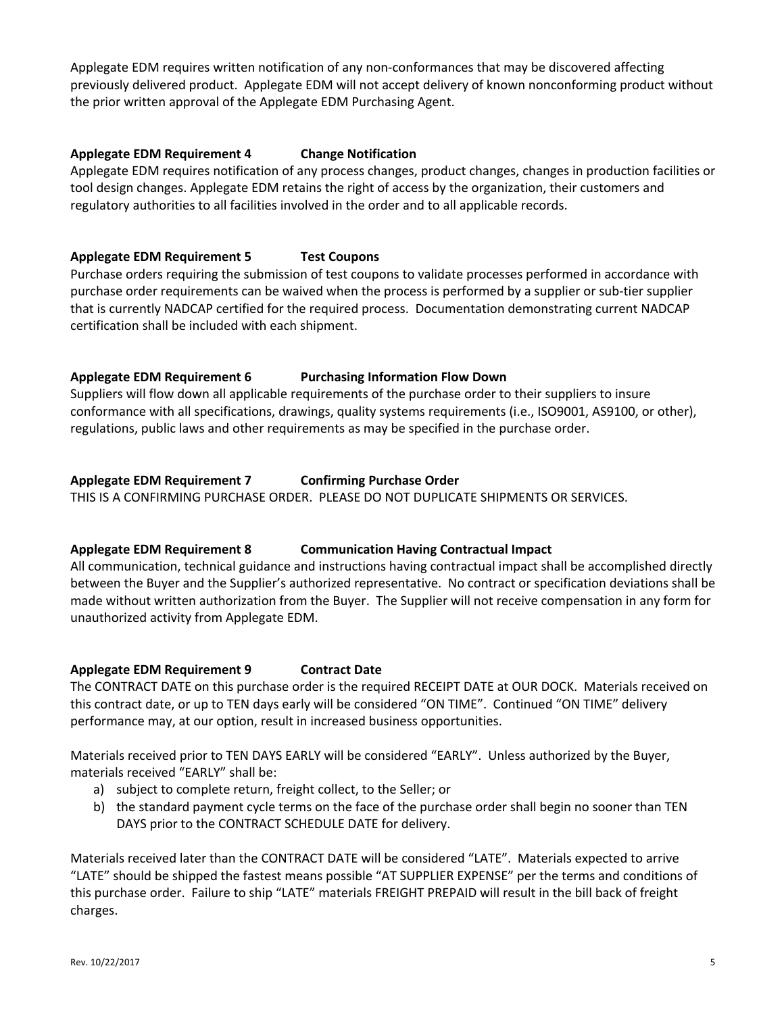Applegate EDM requires written notification of any non-conformances that may be discovered affecting previously delivered product. Applegate EDM will not accept delivery of known nonconforming product without the prior written approval of the Applegate EDM Purchasing Agent.

# **Applegate EDM Requirement 4 Change Notification**

Applegate EDM requires notification of any process changes, product changes, changes in production facilities or tool design changes. Applegate EDM retains the right of access by the organization, their customers and regulatory authorities to all facilities involved in the order and to all applicable records.

# **Applegate EDM Requirement 5 Test Coupons**

Purchase orders requiring the submission of test coupons to validate processes performed in accordance with purchase order requirements can be waived when the process is performed by a supplier or sub-tier supplier that is currently NADCAP certified for the required process. Documentation demonstrating current NADCAP certification shall be included with each shipment.

# **Applegate EDM Requirement 6 Purchasing Information Flow Down**

Suppliers will flow down all applicable requirements of the purchase order to their suppliers to insure conformance with all specifications, drawings, quality systems requirements (i.e., ISO9001, AS9100, or other), regulations, public laws and other requirements as may be specified in the purchase order.

## **Applegate EDM Requirement 7 Confirming Purchase Order**

THIS IS A CONFIRMING PURCHASE ORDER. PLEASE DO NOT DUPLICATE SHIPMENTS OR SERVICES.

## **Applegate EDM Requirement 8 Communication Having Contractual Impact**

All communication, technical guidance and instructions having contractual impact shall be accomplished directly between the Buyer and the Supplier's authorized representative. No contract or specification deviations shall be made without written authorization from the Buyer. The Supplier will not receive compensation in any form for unauthorized activity from Applegate EDM.

## **Applegate EDM Requirement 9 Contract Date**

The CONTRACT DATE on this purchase order is the required RECEIPT DATE at OUR DOCK. Materials received on this contract date, or up to TEN days early will be considered "ON TIME". Continued "ON TIME" delivery performance may, at our option, result in increased business opportunities.

Materials received prior to TEN DAYS EARLY will be considered "EARLY". Unless authorized by the Buyer, materials received "EARLY" shall be:

- a) subject to complete return, freight collect, to the Seller; or
- b) the standard payment cycle terms on the face of the purchase order shall begin no sooner than TEN DAYS prior to the CONTRACT SCHEDULE DATE for delivery.

Materials received later than the CONTRACT DATE will be considered "LATE". Materials expected to arrive "LATE" should be shipped the fastest means possible "AT SUPPLIER EXPENSE" per the terms and conditions of this purchase order. Failure to ship "LATE" materials FREIGHT PREPAID will result in the bill back of freight charges.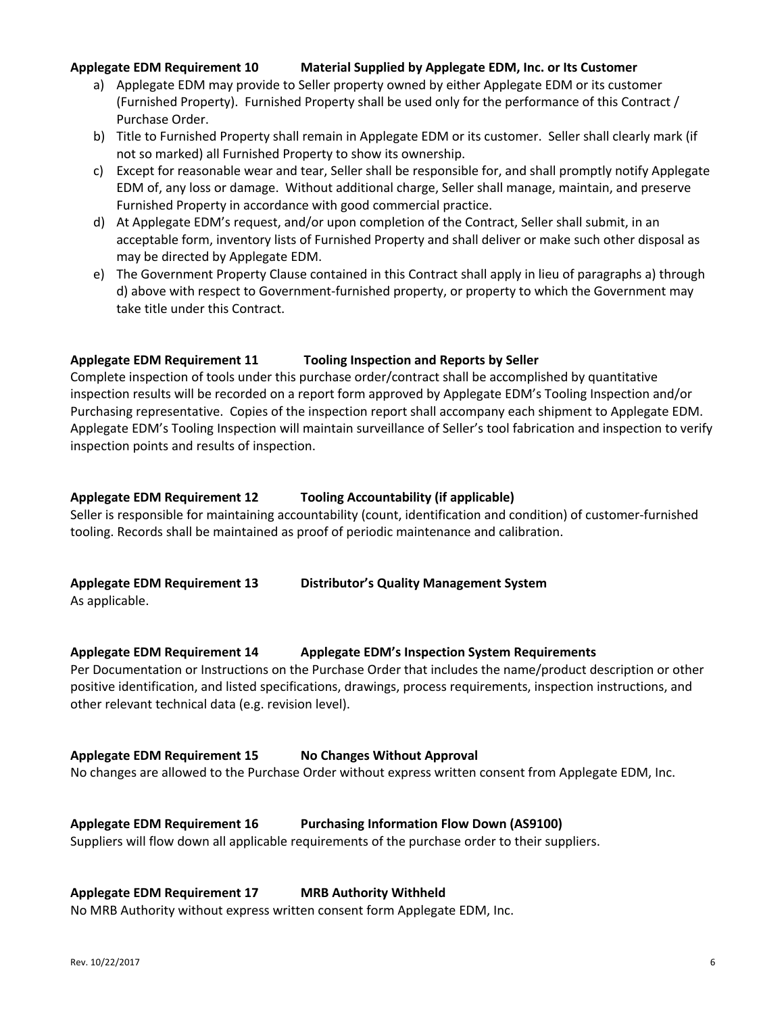# **Applegate EDM Requirement 10 Material Supplied by Applegate EDM, Inc. or Its Customer**

- a) Applegate EDM may provide to Seller property owned by either Applegate EDM or its customer (Furnished Property). Furnished Property shall be used only for the performance of this Contract / Purchase Order.
- b) Title to Furnished Property shall remain in Applegate EDM or its customer. Seller shall clearly mark (if not so marked) all Furnished Property to show its ownership.
- c) Except for reasonable wear and tear, Seller shall be responsible for, and shall promptly notify Applegate EDM of, any loss or damage. Without additional charge, Seller shall manage, maintain, and preserve Furnished Property in accordance with good commercial practice.
- d) At Applegate EDM's request, and/or upon completion of the Contract, Seller shall submit, in an acceptable form, inventory lists of Furnished Property and shall deliver or make such other disposal as may be directed by Applegate EDM.
- e) The Government Property Clause contained in this Contract shall apply in lieu of paragraphs a) through d) above with respect to Government-furnished property, or property to which the Government may take title under this Contract.

## **Applegate EDM Requirement 11 Tooling Inspection and Reports by Seller**

Complete inspection of tools under this purchase order/contract shall be accomplished by quantitative inspection results will be recorded on a report form approved by Applegate EDM's Tooling Inspection and/or Purchasing representative. Copies of the inspection report shall accompany each shipment to Applegate EDM. Applegate EDM's Tooling Inspection will maintain surveillance of Seller's tool fabrication and inspection to verify inspection points and results of inspection.

### **Applegate EDM Requirement 12 Tooling Accountability (if applicable)**

Seller is responsible for maintaining accountability (count, identification and condition) of customer-furnished tooling. Records shall be maintained as proof of periodic maintenance and calibration.

# **Applegate EDM Requirement 13 Distributor's Quality Management System**

As applicable.

## **Applegate EDM Requirement 14 Applegate EDM's Inspection System Requirements**

Per Documentation or Instructions on the Purchase Order that includes the name/product description or other positive identification, and listed specifications, drawings, process requirements, inspection instructions, and other relevant technical data (e.g. revision level).

## **Applegate EDM Requirement 15 No Changes Without Approval**

No changes are allowed to the Purchase Order without express written consent from Applegate EDM, Inc.

## **Applegate EDM Requirement 16 Purchasing Information Flow Down (AS9100)**

Suppliers will flow down all applicable requirements of the purchase order to their suppliers.

#### **Applegate EDM Requirement 17 MRB Authority Withheld**

No MRB Authority without express written consent form Applegate EDM, Inc.